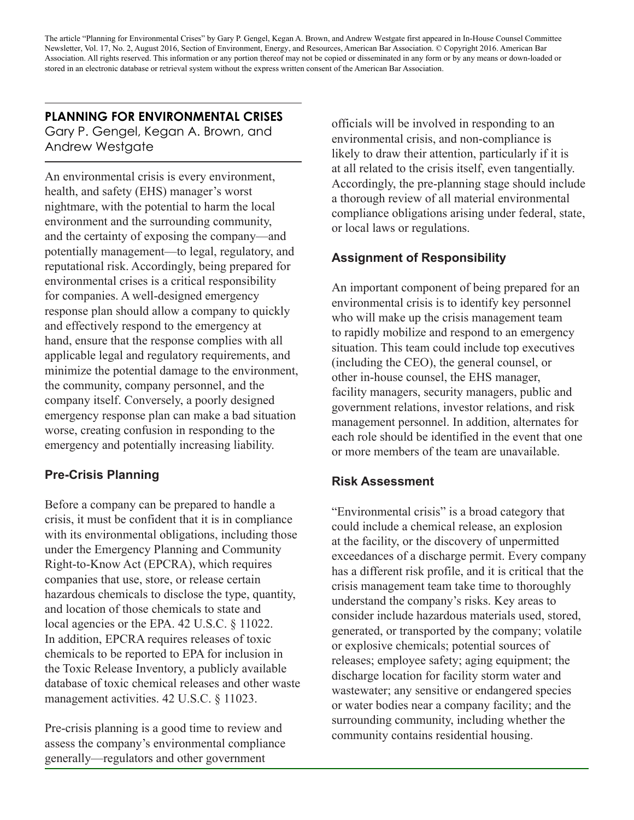The article "Planning for Environmental Crises" by Gary P. Gengel, Kegan A. Brown, and Andrew Westgate first appeared in In-House Counsel Committee Newsletter, Vol. 17, No. 2, August 2016, Section of Environment, Energy, and Resources, American Bar Association. © Copyright 2016. American Bar Association. All rights reserved. This information or any portion thereof may not be copied or disseminated in any form or by any means or down-loaded or stored in an electronic database or retrieval system without the express written consent of the American Bar Association.

# **PLANNING FOR ENVIRONMENTAL CRISES**

Gary P. Gengel, Kegan A. Brown, and Andrew Westgate

An environmental crisis is every environment, health, and safety (EHS) manager's worst nightmare, with the potential to harm the local environment and the surrounding community, and the certainty of exposing the company—and potentially management—to legal, regulatory, and reputational risk. Accordingly, being prepared for environmental crises is a critical responsibility for companies. A well-designed emergency response plan should allow a company to quickly and effectively respond to the emergency at hand, ensure that the response complies with all applicable legal and regulatory requirements, and minimize the potential damage to the environment, the community, company personnel, and the company itself. Conversely, a poorly designed emergency response plan can make a bad situation worse, creating confusion in responding to the emergency and potentially increasing liability.

# **Pre-Crisis Planning**

Before a company can be prepared to handle a crisis, it must be confident that it is in compliance with its environmental obligations, including those under the Emergency Planning and Community Right-to-Know Act (EPCRA), which requires companies that use, store, or release certain hazardous chemicals to disclose the type, quantity, and location of those chemicals to state and local agencies or the EPA. 42 U.S.C. § 11022. In addition, EPCRA requires releases of toxic chemicals to be reported to EPA for inclusion in the Toxic Release Inventory, a publicly available database of toxic chemical releases and other waste management activities. 42 U.S.C. § 11023.

Pre-crisis planning is a good time to review and assess the company's environmental compliance generally—regulators and other government

officials will be involved in responding to an environmental crisis, and non-compliance is likely to draw their attention, particularly if it is at all related to the crisis itself, even tangentially. Accordingly, the pre-planning stage should include a thorough review of all material environmental compliance obligations arising under federal, state, or local laws or regulations.

# **Assignment of Responsibility**

An important component of being prepared for an environmental crisis is to identify key personnel who will make up the crisis management team to rapidly mobilize and respond to an emergency situation. This team could include top executives (including the CEO), the general counsel, or other in-house counsel, the EHS manager, facility managers, security managers, public and government relations, investor relations, and risk management personnel. In addition, alternates for each role should be identified in the event that one or more members of the team are unavailable.

## **Risk Assessment**

"Environmental crisis" is a broad category that could include a chemical release, an explosion at the facility, or the discovery of unpermitted exceedances of a discharge permit. Every company has a different risk profile, and it is critical that the crisis management team take time to thoroughly understand the company's risks. Key areas to consider include hazardous materials used, stored, generated, or transported by the company; volatile or explosive chemicals; potential sources of releases; employee safety; aging equipment; the discharge location for facility storm water and wastewater; any sensitive or endangered species or water bodies near a company facility; and the surrounding community, including whether the community contains residential housing.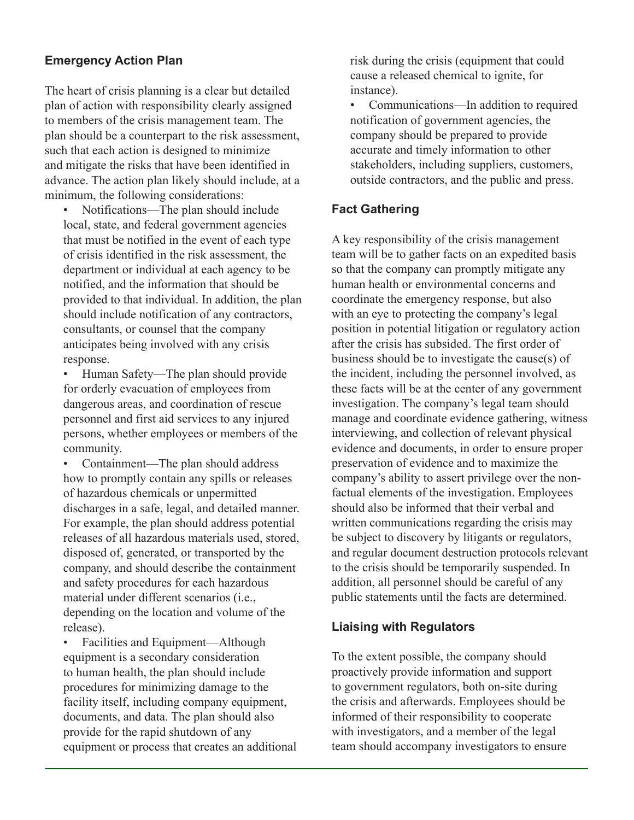## **Emergency Action Plan**

The heart of crisis planning is a clear but detailed plan of action with responsibility clearly assigned to members of the crisis management team. The plan should be a counterpart to the risk assessment, such that each action is designed to minimize and mitigate the risks that have been identified in advance. The action plan likely should include, at a minimum, the following considerations:

• Notifications—The plan should include local, state, and federal government agencies that must be notified in the event of each type of crisis identified in the risk assessment, the department or individual at each agency to be notified, and the information that should be provided to that individual. In addition, the plan should include notification of any contractors, consultants, or counsel that the company anticipates being involved with any crisis response.

• Human Safety—The plan should provide for orderly evacuation of employees from dangerous areas, and coordination of rescue personnel and first aid services to any injured persons, whether employees or members of the community.

• Containment—The plan should address how to promptly contain any spills or releases of hazardous chemicals or unpermitted discharges in a safe, legal, and detailed manner. For example, the plan should address potential releases of all hazardous materials used, stored, disposed of, generated, or transported by the company, and should describe the containment and safety procedures for each hazardous material under different scenarios (i.e., depending on the location and volume of the release).

• Facilities and Equipment—Although equipment is a secondary consideration to human health, the plan should include procedures for minimizing damage to the facility itself, including company equipment, documents, and data. The plan should also provide for the rapid shutdown of any equipment or process that creates an additional risk during the crisis (equipment that could cause a released chemical to ignite, for instance).

• Communications—In addition to required notification of government agencies, the company should be prepared to provide accurate and timely information to other stakeholders, including suppliers, customers, outside contractors, and the public and press.

## **Fact Gathering**

A key responsibility of the crisis management team will be to gather facts on an expedited basis so that the company can promptly mitigate any human health or environmental concerns and coordinate the emergency response, but also with an eye to protecting the company's legal position in potential litigation or regulatory action after the crisis has subsided. The first order of business should be to investigate the cause(s) of the incident, including the personnel involved, as these facts will be at the center of any government investigation. The company's legal team should manage and coordinate evidence gathering, witness interviewing, and collection of relevant physical evidence and documents, in order to ensure proper preservation of evidence and to maximize the company's ability to assert privilege over the nonfactual elements of the investigation. Employees should also be informed that their verbal and written communications regarding the crisis may be subject to discovery by litigants or regulators, and regular document destruction protocols relevant to the crisis should be temporarily suspended. In addition, all personnel should be careful of any public statements until the facts are determined.

#### **Liaising with Regulators**

To the extent possible, the company should proactively provide information and support to government regulators, both on-site during the crisis and afterwards. Employees should be informed of their responsibility to cooperate with investigators, and a member of the legal team should accompany investigators to ensure